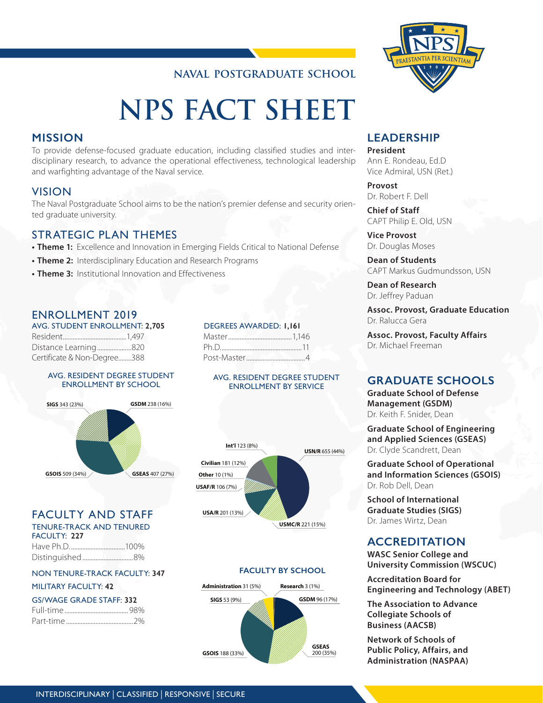# **NAVAL POSTGRADUATE SCHOOL**

# **NPS FACT SHEET**

## **MISSION**

To provide defense-focused graduate education, including classified studies and interdisciplinary research, to advance the operational effectiveness, technological leadership and warfighting advantage of the Naval service.

## VISION

The Naval Postgraduate School aims to be the nation's premier defense and security oriented graduate university.

## STRATEGIC PLAN THEMES

- **• Theme 1:** Excellence and Innovation in Emerging Fields Critical to National Defense
- **• Theme 2:** Interdisciplinary Education and Research Programs
- **• Theme 3:** Institutional Innovation and Effectiveness

## ENROLLMENT 2019

AVG. STUDENT ENROLLMENT: **2,705** Resident.......................................1,497 Distance Learning.....................820 Certificate & Non-Degree........388

#### AVG. RESIDENT DEGREE STUDENT ENROLLMENT BY SCHOOL



## FACULTY AND STAFF

TENURE-TRACK AND TENURED FACULTY: **227**

Have Ph.D. .................................100% Distinguished...............................8%

#### NON TENURE-TRACK FACULTY: **347**

#### MILITARY FACULTY: **42**

| <b>GS/WAGE GRADE STAFF: 332</b> |  |
|---------------------------------|--|
|                                 |  |
|                                 |  |

# Post-Master....................................4 AVG. RESIDENT DEGREE STUDENT ENROLLMENT BY SERVICE

 DEGREES AWARDED: **1,161** Master.......................................1,146 Ph.D..................................................11



#### **FACULTY BY SCHOOL**





# **LEADERSHIP**

**President** Ann E. Rondeau, Ed.D Vice Admiral, USN (Ret.)

## **Provost**

Dr. Robert F. Dell

**Chief of Staff** CAPT Philip E. Old, USN

**Vice Provost** Dr. Douglas Moses

**Dean of Students** CAPT Markus Gudmundsson, USN

**Dean of Research** Dr. Jeffrey Paduan

**Assoc. Provost, Graduate Education** Dr. Ralucca Gera

**Assoc. Provost, Faculty Affairs** Dr. Michael Freeman

## **GRADUATE SCHOOLS**

**Graduate School of Defense Management (GSDM)** Dr. Keith F. Snider, Dean

**Graduate School of Engineering and Applied Sciences (GSEAS)** Dr. Clyde Scandrett, Dean

**Graduate School of Operational and Information Sciences (GSOIS)** Dr. Rob Dell, Dean

**School of International Graduate Studies (SIGS)** Dr. James Wirtz, Dean

## **ACCREDITATION**

**WASC Senior College and University Commission (WSCUC)**

**Accreditation Board for Engineering and Technology (ABET)**

**The Association to Advance Collegiate Schools of Business (AACSB)**

**Network of Schools of Public Policy, Affairs, and Administration (NASPAA)**